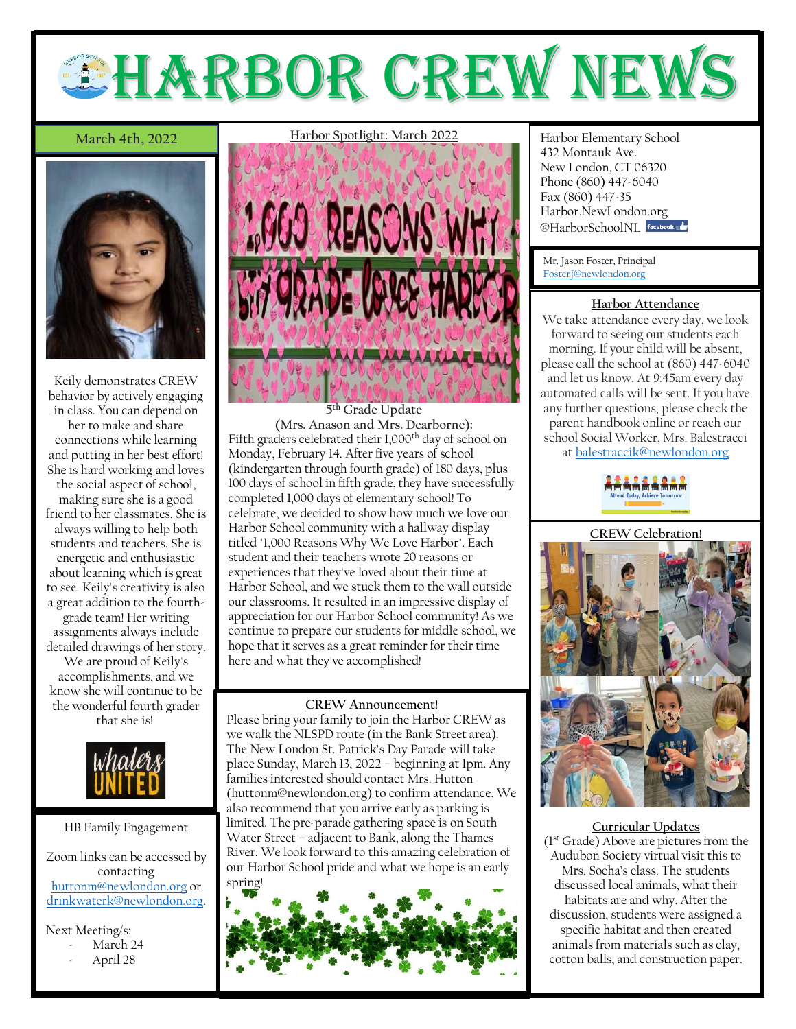

## **March 4th, 2022**



Keily demonstrates CREW behavior by actively engaging in class. You can depend on her to make and share connections while learning and putting in her best effort! She is hard working and loves the social aspect of school, making sure she is a good friend to her classmates. She is always willing to help both students and teachers. She is energetic and enthusiastic about learning which is great to see. Keily's creativity is also a great addition to the fourthgrade team! Her writing assignments always include detailed drawings of her story.

We are proud of Keily's accomplishments, and we know she will continue to be the wonderful fourth grader that she is!



## HB Family Engagement

Zoom links can be accessed by contacting [huttonm@newlondon.org](mailto:huttonm@newlondon.org) or [drinkwaterk@newlondon.org.](mailto:drinkwaterk@newlondon.org)

Next Meeting/s:

- March 24
- April 28



**5 th Grade Update (Mrs. Anason and Mrs. Dearborne):** Fifth graders celebrated their 1,000<sup>th</sup> day of school on Monday, February 14. After five years of school (kindergarten through fourth grade) of 180 days, plus 100 days of school in fifth grade, they have successfully completed 1,000 days of elementary school! To celebrate, we decided to show how much we love our Harbor School community with a hallway display titled "1,000 Reasons Why We Love Harbor". Each student and their teachers wrote 20 reasons or experiences that they've loved about their time at Harbor School, and we stuck them to the wall outside our classrooms. It resulted in an impressive display of appreciation for our Harbor School community! As we continue to prepare our students for middle school, we hope that it serves as a great reminder for their time here and what they've accomplished!

#### **CREW Announcement!**

Please bring your family to join the Harbor CREW as we walk the NLSPD route (in the Bank Street area). The New London St. Patrick's Day Parade will take place Sunday, March 13, 2022 – beginning at 1pm. Any families interested should contact Mrs. Hutton (huttonm@newlondon.org) to confirm attendance. We also recommend that you arrive early as parking is limited. The pre-parade gathering space is on South Water Street – adjacent to Bank, along the Thames River. We look forward to this amazing celebration of our Harbor School pride and what we hope is an early



**Harbor Elementary School** 432 Montauk Ave. New London, CT 06320 Phone (860) 447-6040 Fax (860) 447-35 Harbor.NewLondon.org @HarborSchoolNI Facebook

Mr. Jason Foster, Principal [FosterJ@newlondon.org](mailto:FosterJ@newlondon.org)

#### **Harbor Attendance**

We take attendance every day, we look forward to seeing our students each morning. If your child will be absent, please call the school at (860) 447-6040 and let us know. At 9:45am every day automated calls will be sent. If you have any further questions, please check the parent handbook online or reach our school Social Worker, Mrs. Balestracci at [balestraccik@newlondon.org](mailto:balestraccik@newlondon.org)



# **CREW Celebration!**



### **Curricular Updates**

(1st Grade) Above are pictures from the Audubon Society virtual visit this to Mrs. Socha's class. The students discussed local animals, what their habitats are and why. After the discussion, students were assigned a specific habitat and then created animals from materials such as clay, cotton balls, and construction paper.